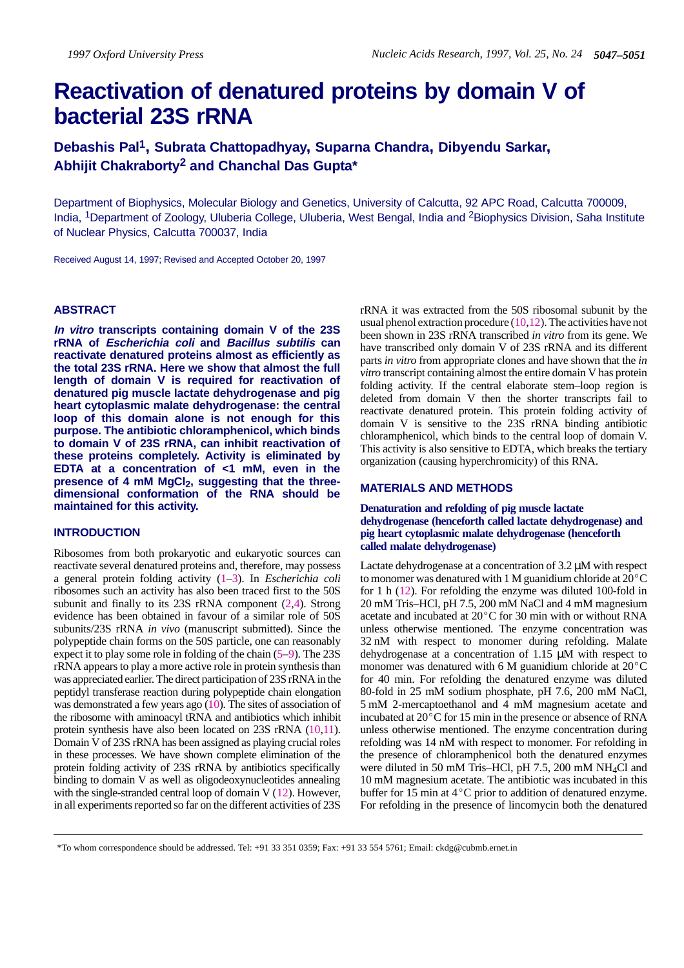# **Reactivation of denatured proteins by domain V of bacterial 23S rRNA**

**Debashis Pal1, Subrata Chattopadhyay, Suparna Chandra, Dibyendu Sarkar, Abhijit Chakraborty2 and Chanchal Das Gupta\***

Department of Biophysics, Molecular Biology and Genetics, University of Calcutta, 92 APC Road, Calcutta 700009, India, 1Department of Zoology, Uluberia College, Uluberia, West Bengal, India and 2Biophysics Division, Saha Institute of Nuclear Physics, Calcutta 700037, India

Received August 14, 1997; Revised and Accepted October 20, 1997

## **ABSTRACT**

**In vitro transcripts containing domain V of the 23S rRNA of Escherichia coli and Bacillus subtilis can reactivate denatured proteins almost as efficiently as the total 23S rRNA. Here we show that almost the full length of domain V is required for reactivation of denatured pig muscle lactate dehydrogenase and pig heart cytoplasmic malate dehydrogenase: the central loop of this domain alone is not enough for this purpose. The antibiotic chloramphenicol, which binds to domain V of 23S rRNA, can inhibit reactivation of these proteins completely. Activity is eliminated by EDTA at a concentration of <1 mM, even in the** presence of 4 mM MgCl<sub>2</sub>, suggesting that the three**dimensional conformation of the RNA should be maintained for this activity.**

## **INTRODUCTION**

Ribosomes from both prokaryotic and eukaryotic sources can reactivate several denatured proteins and, therefore, may possess a general protein folding activity (1–3). In *Escherichia coli* ribosomes such an activity has also been traced first to the 50S subunit and finally to its 23S rRNA component (2,4). Strong evidence has been obtained in favour of a similar role of 50S subunits/23S rRNA *in vivo* (manuscript submitted). Since the polypeptide chain forms on the 50S particle, one can reasonably expect it to play some role in folding of the chain (5–9). The 23S rRNA appears to play a more active role in protein synthesis than was appreciated earlier. The direct participation of 23S rRNA in the peptidyl transferase reaction during polypeptide chain elongation was demonstrated a few years ago (10). The sites of association of the ribosome with aminoacyl tRNA and antibiotics which inhibit protein synthesis have also been located on 23S rRNA (10,11). Domain V of 23S rRNA has been assigned as playing crucial roles in these processes. We have shown complete elimination of the protein folding activity of 23S rRNA by antibiotics specifically binding to domain V as well as oligodeoxynucleotides annealing with the single-stranded central loop of domain V (12). However, in all experiments reported so far on the different activities of 23S

rRNA it was extracted from the 50S ribosomal subunit by the usual phenol extraction procedure  $(10,12)$ . The activities have not been shown in 23S rRNA transcribed *in vitro* from its gene. We have transcribed only domain V of 23S rRNA and its different parts *in vitro* from appropriate clones and have shown that the *in vitro* transcript containing almost the entire domain V has protein folding activity. If the central elaborate stem–loop region is deleted from domain V then the shorter transcripts fail to reactivate denatured protein. This protein folding activity of domain V is sensitive to the 23S rRNA binding antibiotic chloramphenicol, which binds to the central loop of domain V. This activity is also sensitive to EDTA, which breaks the tertiary organization (causing hyperchromicity) of this RNA.

# **MATERIALS AND METHODS**

**Denaturation and refolding of pig muscle lactate dehydrogenase (henceforth called lactate dehydrogenase) and pig heart cytoplasmic malate dehydrogenase (henceforth called malate dehydrogenase)**

Lactate dehydrogenase at a concentration of 3.2  $\mu$ M with respect to monomer was denatured with 1 M guanidium chloride at 20°C for 1 h (12). For refolding the enzyme was diluted 100-fold in 20 mM Tris–HCl, pH 7.5, 200 mM NaCl and 4 mM magnesium<br>acetate and incubated at 20<sup>°</sup>C for 30 min with or without RNA unless otherwise mentioned. The enzyme concentration was 32 nM with respect to monomer during refolding. Malate dehydrogenase at a concentration of  $1.15 \mu M$  with respect to monomer was denatured with 6 M guanidium chloride at  $20^{\circ}$ C for 40 min. For refolding the denatured enzyme was diluted 80-fold in 25 mM sodium phosphate, pH 7.6, 200 mM NaCl, 5 mM 2-mercaptoethanol and 4 mM magnesium acetate and incubated at  $20^{\circ}$ C for 15 min in the presence or absence of RNA unless otherwise mentioned. The enzyme concentration during refolding was 14 nM with respect to monomer. For refolding in the presence of chloramphenicol both the denatured enzymes were diluted in 50 mM Tris–HCl, pH 7.5, 200 mM NH4Cl and 10 mM magnesium acetate. The antibiotic was incubated in this buffer for 15 min at  $4^{\circ}$ C prior to addition of denatured enzyme. For refolding in the presence of lincomycin both the denatured

\*To whom correspondence should be addressed. Tel: +91 33 351 0359; Fax: +91 33 554 5761; Email: ckdg@cubmb.ernet.in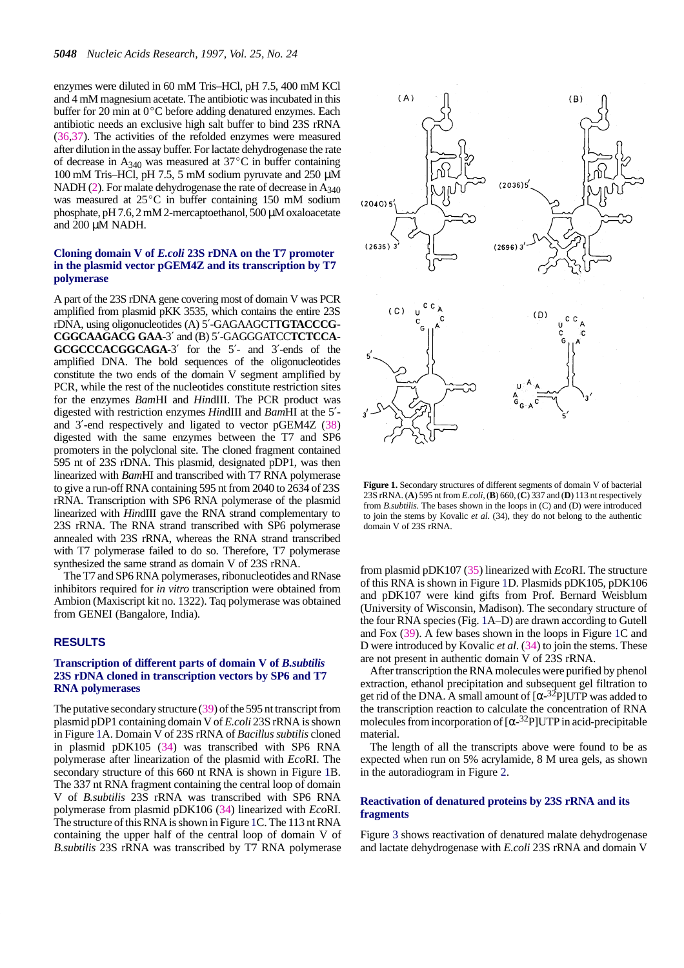enzymes were diluted in 60 mM Tris–HCl, pH 7.5, 400 mM KCl enzymes were under in 60 mm  $\overline{1115}$ -TC,  $\overline{p117.5}$ , 400 mm KCr and 4 mM magnesium acetate. The antibiotic was incubated in this buffer for 20 min at  $0^{\circ}$ C before adding denatured enzymes. Each antibiotic needs an exclusive high salt buffer to bind 23S rRNA (36,37). The activities of the refolded enzymes were measured after dilution in the assay buffer. For lactate dehydrogenase the rate of decrease in A<sub>340</sub> was measured at  $37^{\circ}$ C in buffer containing 100 mM Tris–HCl, pH 7.5, 5 mM sodium pyruvate and 250 µM NADH (2). For malate dehydrogenase the rate of decrease in  $A_{340}$ was measured at  $25^{\circ}$ C in buffer containing 150 mM sodium phosphate, pH 7.6, 2 mM 2-mercaptoethanol, 500 µM oxaloacetate and 200 µM NADH.

### **Cloning domain V of** *E.coli* **23S rDNA on the T7 promoter in the plasmid vector pGEM4Z and its transcription by T7 polymerase**

A part of the 23S rDNA gene covering most of domain V was PCR amplified from plasmid pKK 3535, which contains the entire 23S rDNA, using oligonucleotides (A) 5′-GAGAAGCTT**GTACCCG-CGGCAAGACG GAA-**3′ and (B) 5′-GAGGGATCC**TCTCCA-GCGCCCACGGCAGA-**3′ for the 5′- and 3′-ends of the amplified DNA. The bold sequences of the oligonucleotides constitute the two ends of the domain V segment amplified by PCR, while the rest of the nucleotides constitute restriction sites for the enzymes *Bam*HI and *Hin*dIII. The PCR product was digested with restriction enzymes *Hin*dIII and *Bam*HI at the 5′ and 3′-end respectively and ligated to vector pGEM4Z (38) digested with the same enzymes between the T7 and SP6 promoters in the polyclonal site. The cloned fragment contained 595 nt of 23S rDNA. This plasmid, designated pDP1, was then linearized with *Bam*HI and transcribed with T7 RNA polymerase to give a run-off RNA containing 595 nt from 2040 to 2634 of 23S rRNA. Transcription with SP6 RNA polymerase of the plasmid linearized with *Hin*dIII gave the RNA strand complementary to 23S rRNA. The RNA strand transcribed with SP6 polymerase annealed with 23S rRNA, whereas the RNA strand transcribed with T7 polymerase failed to do so. Therefore, T7 polymerase synthesized the same strand as domain V of 23S rRNA.

The T7 and SP6 RNA polymerases, ribonucleotides and RNase inhibitors required for *in vitro* transcription were obtained from Ambion (Maxiscript kit no. 1322). Taq polymerase was obtained from GENEI (Bangalore, India).

## **RESULTS**

#### **Transcription of different parts of domain V of** *B.subtilis* **23S rDNA cloned in transcription vectors by SP6 and T7 RNA polymerases**

The putative secondary structure (39) of the 595 nt transcript from plasmid pDP1 containing domain V of *E.coli* 23S rRNA is shown in Figure 1A. Domain V of 23S rRNA of *Bacillus subtilis* cloned in plasmid pDK105 (34) was transcribed with SP6 RNA polymerase after linearization of the plasmid with *Eco*RI. The secondary structure of this 660 nt RNA is shown in Figure 1B. The 337 nt RNA fragment containing the central loop of domain V of *B.subtilis* 23S rRNA was transcribed with SP6 RNA polymerase from plasmid pDK106 (34) linearized with *Eco*RI. The structure of this RNA is shown in Figure 1C. The 113 nt RNA containing the upper half of the central loop of domain V of *B.subtilis* 23S rRNA was transcribed by T7 RNA polymerase



**Figure 1.** Secondary structures of different segments of domain V of bacterial 23S rRNA. (**A**) 595 nt from *E.coli*, (**B**) 660, (**C**) 337 and (**D**) 113 nt respectively from *B.subtilis*. The bases shown in the loops in (C) and (D) were introduced to join the stems by Kovalic *et al*. (34), they do not belong to the authentic domain V of 23S rRNA.

from plasmid pDK107 (35) linearized with *Eco*RI. The structure of this RNA is shown in Figure 1D. Plasmids pDK105, pDK106 and pDK107 were kind gifts from Prof. Bernard Weisblum (University of Wisconsin, Madison). The secondary structure of the four RNA species (Fig. 1A–D) are drawn according to Gutell and Fox (39). A few bases shown in the loops in Figure 1C and D were introduced by Kovalic *et al*. (34) to join the stems. These are not present in authentic domain V of 23S rRNA.

After transcription the RNA molecules were purified by phenol extraction, ethanol precipitation and subsequent gel filtration to get rid of the DNA. A small amount of  $\alpha$ -<sup>32</sup>P]UTP was added to the transcription reaction to calculate the concentration of RNA molecules from incorporation of  $[\alpha^{-32}P]$ UTP in acid-precipitable material.

The length of all the transcripts above were found to be as expected when run on 5% acrylamide, 8 M urea gels, as shown in the autoradiogram in Figure 2.

## **Reactivation of denatured proteins by 23S rRNA and its fragments**

Figure 3 shows reactivation of denatured malate dehydrogenase and lactate dehydrogenase with *E.coli* 23S rRNA and domain V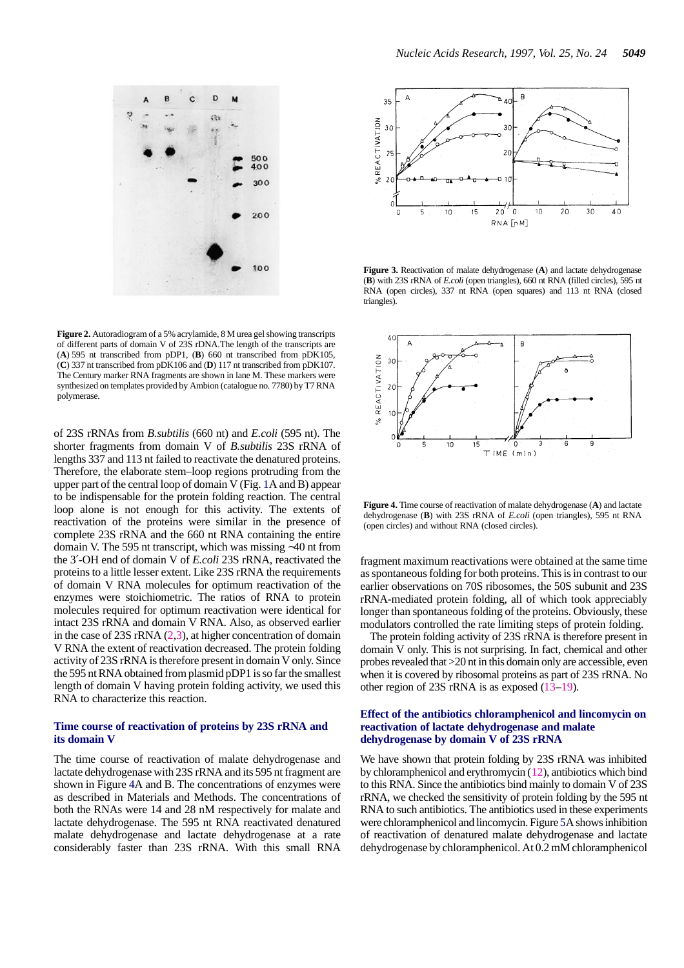

**Figure 2.** Autoradiogram of a 5% acrylamide, 8 M urea gel showing transcripts of different parts of domain V of 23S rDNA.The length of the transcripts are (**A**) 595 nt transcribed from pDP1, (**B**) 660 nt transcribed from pDK105, (**C**) 337 nt transcribed from pDK106 and (**D**) 117 nt transcribed from pDK107. The Century marker RNA fragments are shown in lane M. These markers were synthesized on templates provided by Ambion (catalogue no. 7780) by T7 RNA polymerase.

of 23S rRNAs from *B.subtilis* (660 nt) and *E.coli* (595 nt). The shorter fragments from domain V of *B.subtilis* 23S rRNA of lengths 337 and 113 nt failed to reactivate the denatured proteins. Therefore, the elaborate stem–loop regions protruding from the upper part of the central loop of domain V (Fig. 1A and B) appear to be indispensable for the protein folding reaction. The central loop alone is not enough for this activity. The extents of reactivation of the proteins were similar in the presence of complete 23S rRNA and the 660 nt RNA containing the entire domain V. The 595 nt transcript, which was missing ∼40 nt from the 3′-OH end of domain V of *E.coli* 23S rRNA, reactivated the proteins to a little lesser extent. Like 23S rRNA the requirements of domain V RNA molecules for optimum reactivation of the enzymes were stoichiometric. The ratios of RNA to protein molecules required for optimum reactivation were identical for intact 23S rRNA and domain V RNA. Also, as observed earlier in the case of 23S rRNA (2,3), at higher concentration of domain V RNA the extent of reactivation decreased. The protein folding activity of 23S rRNA is therefore present in domain V only. Since the 595 nt RNA obtained from plasmid pDP1 is so far the smallest length of domain V having protein folding activity, we used this RNA to characterize this reaction.

## **Time course of reactivation of proteins by 23S rRNA and its domain V**

The time course of reactivation of malate dehydrogenase and lactate dehydrogenase with 23S rRNA and its 595 nt fragment are shown in Figure 4A and B. The concentrations of enzymes were as described in Materials and Methods. The concentrations of both the RNAs were 14 and 28 nM respectively for malate and lactate dehydrogenase. The 595 nt RNA reactivated denatured malate dehydrogenase and lactate dehydrogenase at a rate considerably faster than 23S rRNA. With this small RNA



**Figure 3.** Reactivation of malate dehydrogenase (**A**) and lactate dehydrogenase (**B**) with 23S rRNA of *E.coli* (open triangles), 660 nt RNA (filled circles), 595 nt RNA (open circles), 337 nt RNA (open squares) and 113 nt RNA (closed triangles).



**Figure 4.** Time course of reactivation of malate dehydrogenase (**A**) and lactate dehydrogenase (**B**) with 23S rRNA of *E.coli* (open triangles), 595 nt RNA (open circles) and without RNA (closed circles).

fragment maximum reactivations were obtained at the same time as spontaneous folding for both proteins. This is in contrast to our earlier observations on 70S ribosomes, the 50S subunit and 23S rRNA-mediated protein folding, all of which took appreciably longer than spontaneous folding of the proteins. Obviously, these modulators controlled the rate limiting steps of protein folding.

The protein folding activity of 23S rRNA is therefore present in domain V only. This is not surprising. In fact, chemical and other probes revealed that >20 nt in this domain only are accessible, even when it is covered by ribosomal proteins as part of 23S rRNA. No other region of 23S rRNA is as exposed (13–19).

#### **Effect of the antibiotics chloramphenicol and lincomycin on reactivation of lactate dehydrogenase and malate dehydrogenase by domain V of 23S rRNA**

We have shown that protein folding by 23S rRNA was inhibited by chloramphenicol and erythromycin (12), antibiotics which bind to this RNA. Since the antibiotics bind mainly to domain V of 23S rRNA, we checked the sensitivity of protein folding by the 595 nt RNA to such antibiotics. The antibiotics used in these experiments were chloramphenicol and lincomycin. Figure 5A shows inhibition of reactivation of denatured malate dehydrogenase and lactate dehydrogenase by chloramphenicol. At 0.2 mM chloramphenicol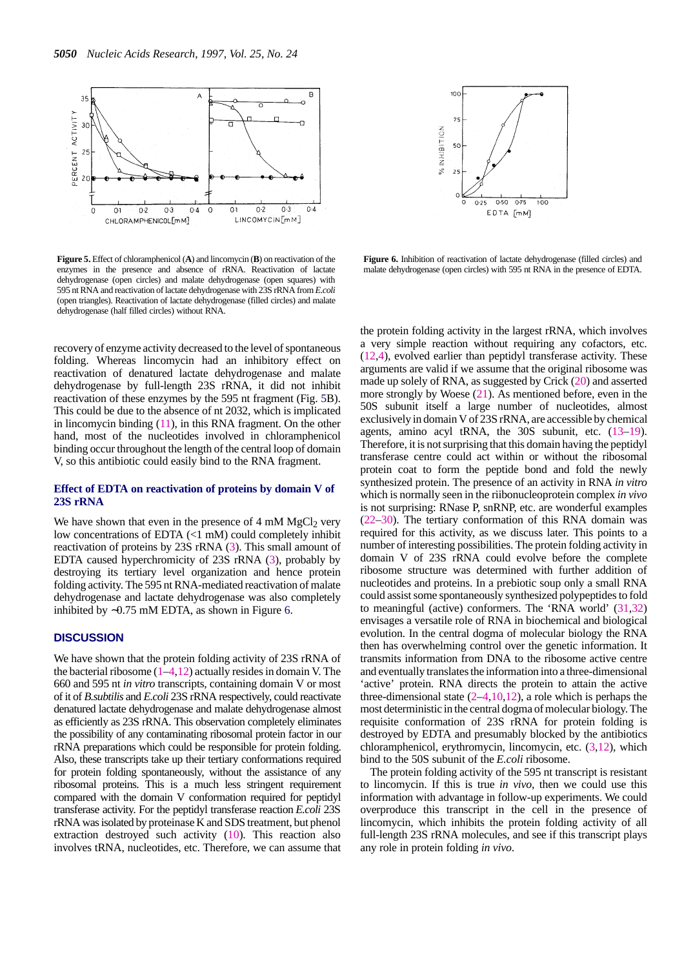

**Figure 5.** Effect of chloramphenicol (**A**) and lincomycin (**B**) on reactivation of the enzymes in the presence and absence of rRNA. Reactivation of lactate dehydrogenase (open circles) and malate dehydrogenase (open squares) with 595 nt RNA and reactivation of lactate dehydrogenase with 23S rRNA from *E.coli* (open triangles). Reactivation of lactate dehydrogenase (filled circles) and malate dehydrogenase (half filled circles) without RNA.

recovery of enzyme activity decreased to the level of spontaneous folding. Whereas lincomycin had an inhibitory effect on reactivation of denatured lactate dehydrogenase and malate dehydrogenase by full-length 23S rRNA, it did not inhibit reactivation of these enzymes by the 595 nt fragment (Fig. 5B). This could be due to the absence of nt 2032, which is implicated in lincomycin binding (11), in this RNA fragment. On the other hand, most of the nucleotides involved in chloramphenicol binding occur throughout the length of the central loop of domain V, so this antibiotic could easily bind to the RNA fragment.

#### **Effect of EDTA on reactivation of proteins by domain V of 23S rRNA**

We have shown that even in the presence of  $4 \text{ mM } MgCl_2$  very low concentrations of EDTA (<1 mM) could completely inhibit reactivation of proteins by 23S rRNA (3). This small amount of EDTA caused hyperchromicity of 23S rRNA (3), probably by destroying its tertiary level organization and hence protein folding activity. The 595 nt RNA-mediated reactivation of malate dehydrogenase and lactate dehydrogenase was also completely inhibited by ∼0.75 mM EDTA, as shown in Figure 6.

## **DISCUSSION**

We have shown that the protein folding activity of 23S rRNA of the bacterial ribosome  $(1-4,12)$  actually resides in domain V. The 660 and 595 nt *in vitro* transcripts, containing domain V or most of it of *B.subtilis* and *E.coli* 23S rRNA respectively, could reactivate denatured lactate dehydrogenase and malate dehydrogenase almost as efficiently as 23S rRNA. This observation completely eliminates the possibility of any contaminating ribosomal protein factor in our rRNA preparations which could be responsible for protein folding. Also, these transcripts take up their tertiary conformations required for protein folding spontaneously, without the assistance of any ribosomal proteins. This is a much less stringent requirement compared with the domain V conformation required for peptidyl transferase activity. For the peptidyl transferase reaction *E.coli* 23S rRNA was isolated by proteinase K and SDS treatment, but phenol extraction destroyed such activity (10). This reaction also involves tRNA, nucleotides, etc. Therefore, we can assume that



**Figure 6.** Inhibition of reactivation of lactate dehydrogenase (filled circles) and malate dehydrogenase (open circles) with 595 nt RNA in the presence of EDTA.

the protein folding activity in the largest rRNA, which involves a very simple reaction without requiring any cofactors, etc. (12,4), evolved earlier than peptidyl transferase activity. These arguments are valid if we assume that the original ribosome was made up solely of RNA, as suggested by Crick (20) and asserted more strongly by Woese (21). As mentioned before, even in the 50S subunit itself a large number of nucleotides, almost exclusively in domain V of 23S rRNA, are accessible by chemical agents, amino acyl tRNA, the 30S subunit, etc. (13–19). Therefore, it is not surprising that this domain having the peptidyl transferase centre could act within or without the ribosomal protein coat to form the peptide bond and fold the newly synthesized protein. The presence of an activity in RNA *in vitro* which is normally seen in the riibonucleoprotein complex *in vivo* is not surprising: RNase P, snRNP, etc. are wonderful examples (22–30). The tertiary conformation of this RNA domain was required for this activity, as we discuss later. This points to a number of interesting possibilities. The protein folding activity in domain V of 23S rRNA could evolve before the complete ribosome structure was determined with further addition of nucleotides and proteins. In a prebiotic soup only a small RNA could assist some spontaneously synthesized polypeptides to fold to meaningful (active) conformers. The 'RNA world' (31,32) envisages a versatile role of RNA in biochemical and biological evolution. In the central dogma of molecular biology the RNA then has overwhelming control over the genetic information. It transmits information from DNA to the ribosome active centre and eventually translates the information into a three-dimensional 'active' protein. RNA directs the protein to attain the active three-dimensional state  $(2-4,10,12)$ , a role which is perhaps the most deterministic in the central dogma of molecular biology. The requisite conformation of 23S rRNA for protein folding is destroyed by EDTA and presumably blocked by the antibiotics chloramphenicol, erythromycin, lincomycin, etc. (3,12), which bind to the 50S subunit of the *E.coli* ribosome.

The protein folding activity of the 595 nt transcript is resistant to lincomycin. If this is true *in vivo*, then we could use this information with advantage in follow-up experiments. We could overproduce this transcript in the cell in the presence of lincomycin, which inhibits the protein folding activity of all full-length 23S rRNA molecules, and see if this transcript plays any role in protein folding *in vivo*.